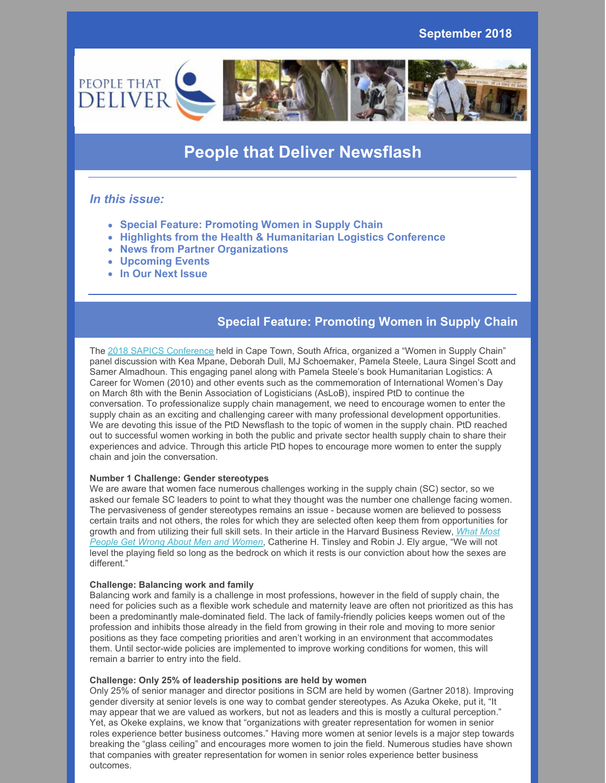

# **People that Deliver Newsflash**

### *In this issue:*

- **Special Feature: Promoting Women in Supply Chain**
- **Highlights from the Health & Humanitarian Logistics Conference**
- **News from Partner Organizations**
- **Upcoming Events**
- **In Our Next Issue**

## **Special Feature: Promoting Women in Supply Chain**

The 2018 SAPICS [Conference](https://conference.sapics.org/programme/) held in Cape Town, South Africa, organized a "Women in Supply Chain" panel discussion with Kea Mpane, Deborah Dull, MJ Schoemaker, Pamela Steele, Laura Singel Scott and Samer Almadhoun. This engaging panel along with Pamela Steele's book Humanitarian Logistics: A Career for Women (2010) and other events such as the commemoration of International Women's Day on March 8th with the Benin Association of Logisticians (AsLoB), inspired PtD to continue the conversation. To professionalize supply chain management, we need to encourage women to enter the supply chain as an exciting and challenging career with many professional development opportunities. We are devoting this issue of the PtD Newsflash to the topic of women in the supply chain. PtD reached out to successful women working in both the public and private sector health supply chain to share their experiences and advice. Through this article PtD hopes to encourage more women to enter the supply chain and join the conversation.

### **Number 1 Challenge: Gender stereotypes**

We are aware that women face numerous challenges working in the supply chain (SC) sector, so we asked our female SC leaders to point to what they thought was the number one challenge facing women. The pervasiveness of gender stereotypes remains an issue - because women are believed to possess certain traits and not others, the roles for which they are selected often keep them from opportunities for growth and from utilizing their full skill sets. In their article in the Harvard Business Review, *What Most People Get Wrong About Men and Women*, [Catherine](https://hbr.org/2018/05/what-most-people-get-wrong-about-men-and-women) H. Tinsley and Robin J. Ely argue, "We will not level the playing field so long as the bedrock on which it rests is our conviction about how the sexes are different."

#### **Challenge: Balancing work and family**

Balancing work and family is a challenge in most professions, however in the field of supply chain, the need for policies such as a flexible work schedule and maternity leave are often not prioritized as this has been a predominantly male-dominated field. The lack of family-friendly policies keeps women out of the profession and inhibits those already in the field from growing in their role and moving to more senior positions as they face competing priorities and aren't working in an environment that accommodates them. Until sector-wide policies are implemented to improve working conditions for women, this will remain a barrier to entry into the field.

#### **Challenge: Only 25% of leadership positions are held by women**

Only 25% of senior manager and director positions in SCM are held by women (Gartner 2018). Improving gender diversity at senior levels is one way to combat gender stereotypes. As Azuka Okeke, put it, "It may appear that we are valued as workers, but not as leaders and this is mostly a cultural perception." Yet, as Okeke explains, we know that "organizations with greater representation for women in senior roles experience better business outcomes." Having more women at senior levels is a major step towards breaking the "glass ceiling" and encourages more women to join the field. Numerous studies have shown that companies with greater representation for women in senior roles experience better business outcomes.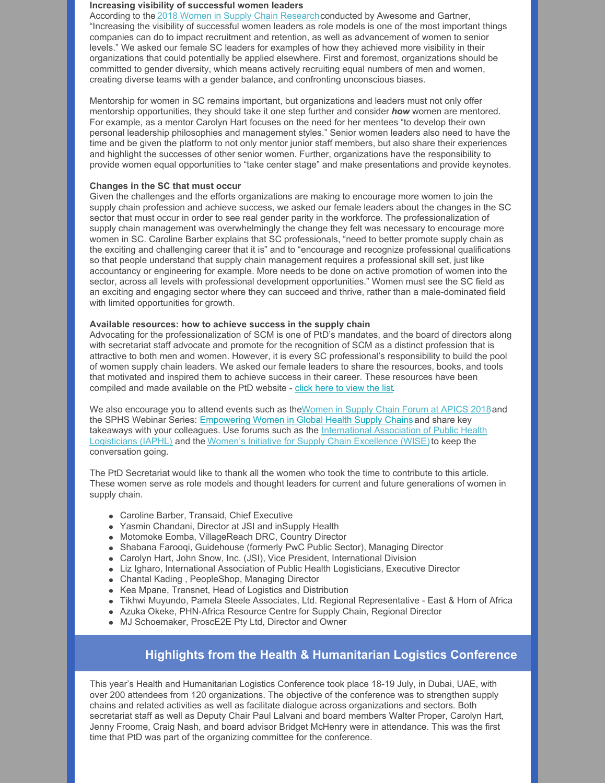#### **Increasing visibility of successful women leaders**

According to the 2018 Women in Supply Chain [Research](https://www.awesomeleaders.org/wp-content/uploads/2018/05/2018-AWESOME-Gartner-Report.pdf) conducted by Awesome and Gartner, "Increasing the visibility of successful women leaders as role models is one of the most important things companies can do to impact recruitment and retention, as well as advancement of women to senior levels." We asked our female SC leaders for examples of how they achieved more visibility in their organizations that could potentially be applied elsewhere. First and foremost, organizations should be committed to gender diversity, which means actively recruiting equal numbers of men and women, creating diverse teams with a gender balance, and confronting unconscious biases.

Mentorship for women in SC remains important, but organizations and leaders must not only offer mentorship opportunities, they should take it one step further and consider *how* women are mentored. For example, as a mentor Carolyn Hart focuses on the need for her mentees "to develop their own personal leadership philosophies and management styles." Senior women leaders also need to have the time and be given the platform to not only mentor junior staff members, but also share their experiences and highlight the successes of other senior women. Further, organizations have the responsibility to provide women equal opportunities to "take center stage" and make presentations and provide keynotes.

#### **Changes in the SC that must occur**

Given the challenges and the efforts organizations are making to encourage more women to join the supply chain profession and achieve success, we asked our female leaders about the changes in the SC sector that must occur in order to see real gender parity in the workforce. The professionalization of supply chain management was overwhelmingly the change they felt was necessary to encourage more women in SC. Caroline Barber explains that SC professionals, "need to better promote supply chain as the exciting and challenging career that it is" and to "encourage and recognize professional qualifications so that people understand that supply chain management requires a professional skill set, just like accountancy or engineering for example. More needs to be done on active promotion of women into the sector, across all levels with professional development opportunities." Women must see the SC field as an exciting and engaging sector where they can succeed and thrive, rather than a male-dominated field with limited opportunities for growth.

#### **Available resources: how to achieve success in the supply chain**

Advocating for the professionalization of SCM is one of PtD's mandates, and the board of directors along with secretariat staff advocate and promote for the recognition of SCM as a distinct profession that is attractive to both men and women. However, it is every SC professional's responsibility to build the pool of women supply chain leaders. We asked our female leaders to share the resources, books, and tools that motivated and inspired them to achieve success in their career. These resources have been compiled and made available on the PtD website - click [here](https://peoplethatdeliver.org/ptd/resources/leadership-resource-list) to view the list.

We also encourage you to attend events such as the Women in Supply Chain Forum at APICS 2018 and the SPHS Webinar Series: [Empowering](https://register.gotowebinar.com/register/1832327724848812290) Women in Global Health Supply Chains and share key takeaways with your colleagues. Use forums such as the [International](http://iaphl.org/) Association of Public Health Logisticians (IAPHL) and the Women's Initiative for Supply Chain [Excellence](https://www.linkedin.com/groups/1844795) (WISE) to keep the conversation going.

The PtD Secretariat would like to thank all the women who took the time to contribute to this article. These women serve as role models and thought leaders for current and future generations of women in supply chain.

- Caroline Barber, Transaid, Chief Executive
- Yasmin Chandani, Director at JSI and inSupply Health
- Motomoke Eomba, VillageReach DRC, Country Director
- Shabana Farooqi, Guidehouse (formerly PwC Public Sector), Managing Director
- Carolyn Hart, John Snow, Inc. (JSI), Vice President, International Division
- Liz Igharo, International Association of Public Health Logisticians, Executive Director
- Chantal Kading , PeopleShop, Managing Director
- Kea Mpane, Transnet, Head of Logistics and Distribution
- Tikhwi Muyundo, Pamela Steele Associates, Ltd. Regional Representative East & Horn of Africa
- Azuka Okeke, PHN-Africa Resource Centre for Supply Chain, Regional Director
- MJ Schoemaker, ProscE2E Pty Ltd, Director and Owner

### **Highlights from the Health & Humanitarian Logistics Conference**

This year's Health and Humanitarian Logistics Conference took place 18-19 July, in Dubai, UAE, with over 200 attendees from 120 organizations. The objective of the conference was to strengthen supply chains and related activities as well as facilitate dialogue across organizations and sectors. Both secretariat staff as well as Deputy Chair Paul Lalvani and board members Walter Proper, Carolyn Hart, Jenny Froome, Craig Nash, and board advisor Bridget McHenry were in attendance. This was the first time that PtD was part of the organizing committee for the conference.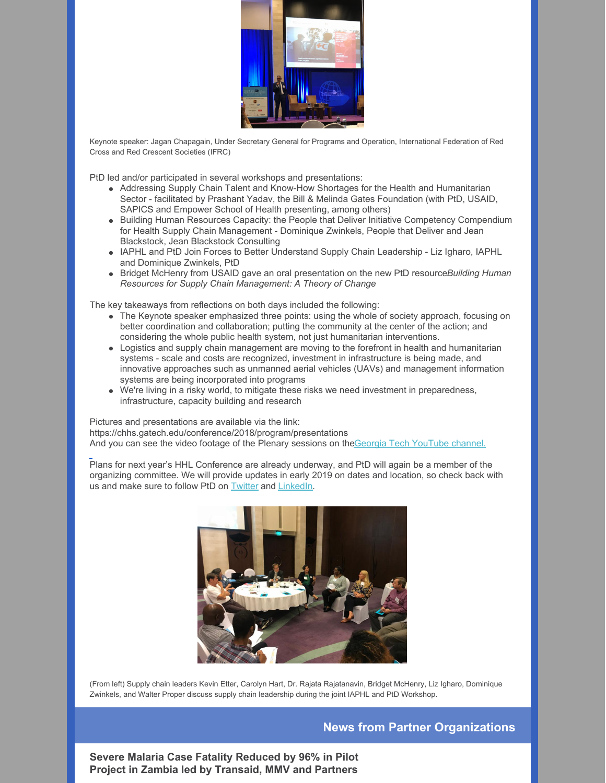

Keynote speaker: Jagan Chapagain, Under Secretary General for Programs and Operation, International Federation of Red Cross and Red Crescent Societies (IFRC)

PtD led and/or participated in several workshops and presentations:

- Addressing Supply Chain Talent and Know-How Shortages for the Health and Humanitarian Sector - facilitated by Prashant Yadav, the Bill & Melinda Gates Foundation (with PtD, USAID, SAPICS and Empower School of Health presenting, among others)
- Building Human Resources Capacity: the People that Deliver Initiative Competency Compendium for Health Supply Chain Management - Dominique Zwinkels, People that Deliver and Jean Blackstock, Jean Blackstock Consulting
- IAPHL and PtD Join Forces to Better Understand Supply Chain Leadership Liz Igharo, IAPHL and Dominique Zwinkels, PtD
- Bridget McHenry from USAID gave an oral presentation on the new PtD resource*Building Human Resources for Supply Chain Management: A Theory of Change*

The key takeaways from reflections on both days included the following:

- The Keynote speaker emphasized three points: using the whole of society approach, focusing on better coordination and collaboration; putting the community at the center of the action; and considering the whole public health system, not just humanitarian interventions.
- Logistics and supply chain management are moving to the forefront in health and humanitarian systems - scale and costs are recognized, investment in infrastructure is being made, and innovative approaches such as unmanned aerial vehicles (UAVs) and management information systems are being incorporated into programs
- We're living in a risky world, to mitigate these risks we need investment in preparedness, infrastructure, capacity building and research

Pictures and presentations are available via the link: https://chhs.gatech.edu/conference/2018/program/presentations [A](https://www.youtube.com/playlist?list=PLLGJt58utM3unWTeGeH3ivycQBgzbJWxf)nd you can see the video footage of the Plenary sessions on theGeorgia Tech [YouTube](https://www.youtube.com/playlist?list=PLLGJt58utM3unWTeGeH3ivycQBgzbJWxf) channel.

Plans for next year's HHL Conference are already underway, and PtD will again be a member of the organizing committee. We will provide updates in early 2019 on dates and location, so check back with us and make sure to follow PtD o[n](https://twitter.com/PplthatDeliver) [Twitter](https://twitter.com/PplthatDeliver) and [LinkedIn](https://www.linkedin.com/company/people-that-deliver/).



(From left) Supply chain leaders Kevin Etter, Carolyn Hart, Dr. Rajata Rajatanavin, Bridget McHenry, Liz Igharo, Dominique Zwinkels, and Walter Proper discuss supply chain leadership during the joint IAPHL and PtD Workshop.

### **News from Partner Organizations**

**Severe Malaria Case Fatality Reduced by 96% in Pilot Project in Zambia led by Transaid, MMV and Partners**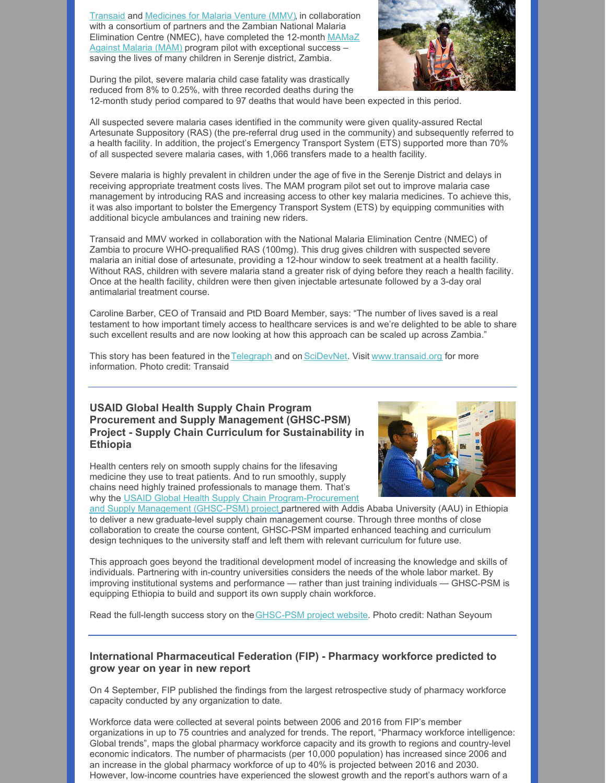[Transaid](http://www.transaid.org/) and [Medicines](https://www.mmv.org/) for Malaria Venture (MMV), in collaboration with a consortium of partners and the Zambian National Malaria Elimination Centre (NMEC), have completed the 12-month MAMaZ Against Malaria (MAM) program pilot with [exceptional](http://www.transaid.org/programmes/mamaz-against-malaria/) success – saving the lives of many children in Serenje district, Zambia.

During the pilot, severe malaria child case fatality was drastically reduced from 8% to 0.25%, with three recorded deaths during the 12-month study period compared to 97 deaths that would have been expected in this period.



All suspected severe malaria cases identified in the community were given quality-assured Rectal Artesunate Suppository (RAS) (the pre-referral drug used in the community) and subsequently referred to a health facility. In addition, the project's Emergency Transport System (ETS) supported more than 70% of all suspected severe malaria cases, with 1,066 transfers made to a health facility.

Severe malaria is highly prevalent in children under the age of five in the Serenje District and delays in receiving appropriate treatment costs lives. The MAM program pilot set out to improve malaria case management by introducing RAS and increasing access to other key malaria medicines. To achieve this, it was also important to bolster the Emergency Transport System (ETS) by equipping communities with additional bicycle ambulances and training new riders.

Transaid and MMV worked in collaboration with the National Malaria Elimination Centre (NMEC) of Zambia to procure WHO-prequalified RAS (100mg). This drug gives children with suspected severe malaria an initial dose of artesunate, providing a 12-hour window to seek treatment at a health facility. Without RAS, children with severe malaria stand a greater risk of dying before they reach a health facility. Once at the health facility, children were then given injectable artesunate followed by a 3-day oral antimalarial treatment course.

Caroline Barber, CEO of Transaid and PtD Board Member, says: "The number of lives saved is a real testament to how important timely access to healthcare services is and we're delighted to be able to share such excellent results and are now looking at how this approach can be scaled up across Zambia."

This story has been featured in the [Telegraph](https://www.telegraph.co.uk/news/0/bicycles-revealed-secret-weapon-reduce-deaths-malaria-children/) and on [SciDevNet](https://www.scidev.net/sub-saharan-africa/health/news/zambia-trial-cuts-severe-malaria-deaths.html). Visit [www.transaid.org](http://www.transaid.org/) for more information. Photo credit: Transaid

### **USAID Global Health Supply Chain Program Procurement and Supply Management (GHSC-PSM) Project - Supply Chain Curriculum for Sustainability in Ethiopia**

Health centers rely on smooth supply chains for the lifesaving medicine they use to treat patients. And to run smoothly, supply chains need highly trained professionals to manage them. That's why the USAID Global Health Supply Chain [Program-Procurement](https://www.ghsupplychain.org/)



and Supply Management (GHSC-PSM) projec[t](https://www.ghsupplychain.org/) partnered with Addis Ababa University (AAU) in Ethiopia to deliver a new graduate-level supply chain management course. Through three months of close collaboration to create the course content, GHSC-PSM imparted enhanced teaching and curriculum design techniques to the university staff and left them with relevant curriculum for future use.

This approach goes beyond the traditional development model of increasing the knowledge and skills of individuals. Partnering with in-country universities considers the needs of the whole labor market. By improving institutional systems and performance — rather than just training individuals — GHSC-PSM is equipping Ethiopia to build and support its own supply chain workforce.

Read the full-length success story on the **GHSC-PSM** project website. Photo credit: Nathan Seyoum

### **International Pharmaceutical Federation (FIP) - Pharmacy workforce predicted to grow year on year in new report**

On 4 September, FIP published the findings from the largest retrospective study of pharmacy workforce capacity conducted by any organization to date.

Workforce data were collected at several points between 2006 and 2016 from FIP's member organizations in up to 75 countries and analyzed for trends. The report, "Pharmacy workforce intelligence: Global trends", maps the global pharmacy workforce capacity and its growth to regions and country-level economic indicators. The number of pharmacists (per 10,000 population) has increased since 2006 and an increase in the global pharmacy workforce of up to 40% is projected between 2016 and 2030. However, low-income countries have experienced the slowest growth and the report's authors warn of a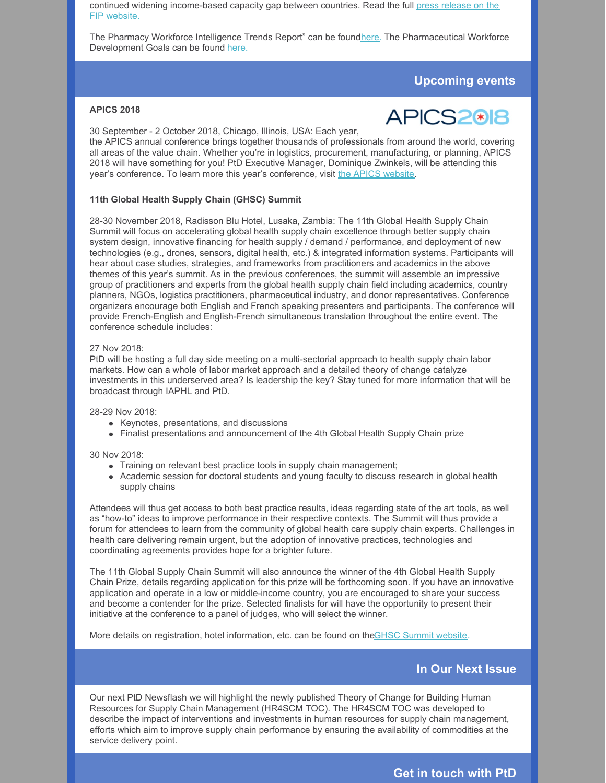continued widening [income-based](https://www.fip.org/www/index.php?page=news_publications&news=newsitem&newsitem=266) capacity gap between countries. Read the full press release on the FIP website.

The Pharmacy Workforce Intelligence Trends Report" can be found[here](https://fip.us9.list-manage.com/track/click?u=8a53014ef869b0c219eac7e5f&id=b41df3c387&e=4922c012bc). The Pharmaceutical Workforce Development Goals can be found [here](https://fip.us9.list-manage.com/track/click?u=8a53014ef869b0c219eac7e5f&id=b3efcf5598&e=4922c012bc).

### **Upcoming events**

### **APICS 2018**



30 September - 2 October 2018, Chicago, Illinois, USA: Each year,

the APICS annual conference brings together thousands of professionals from around the world, covering all areas of the value chain. Whether you're in logistics, procurement, manufacturing, or planning, APICS 2018 will have something for you! PtD Executive Manager, Dominique Zwinkels, will be attending this year's conference. To learn more this year's conference, visit the APICS [website.](http://www.apics.org/annual-conference/home)

#### **11th Global Health Supply Chain (GHSC) Summit**

28-30 November 2018, Radisson Blu Hotel, Lusaka, Zambia: The 11th Global Health Supply Chain Summit will focus on accelerating global health supply chain excellence through better supply chain system design, innovative financing for health supply / demand / performance, and deployment of new technologies (e.g., drones, sensors, digital health, etc.) & integrated information systems. Participants will hear about case studies, strategies, and frameworks from practitioners and academics in the above themes of this year's summit. As in the previous conferences, the summit will assemble an impressive group of practitioners and experts from the global health supply chain field including academics, country planners, NGOs, logistics practitioners, pharmaceutical industry, and donor representatives. Conference organizers encourage both English and French speaking presenters and participants. The conference will provide French-English and English-French simultaneous translation throughout the entire event. The conference schedule includes:

#### 27 Nov 2018:

PtD will be hosting a full day side meeting on a multi-sectorial approach to health supply chain labor markets. How can a whole of labor market approach and a detailed theory of change catalyze investments in this underserved area? Is leadership the key? Stay tuned for more information that will be broadcast through IAPHL and PtD.

28-29 Nov 2018:

- Keynotes, presentations, and discussions
- Finalist presentations and announcement of the 4th Global Health Supply Chain prize

#### 30 Nov 2018:

- Training on relevant best practice tools in supply chain management;
- Academic session for doctoral students and young faculty to discuss research in global health supply chains

Attendees will thus get access to both best practice results, ideas regarding state of the art tools, as well as "how-to" ideas to improve performance in their respective contexts. The Summit will thus provide a forum for attendees to learn from the community of global health care supply chain experts. Challenges in health care delivering remain urgent, but the adoption of innovative practices, technologies and coordinating agreements provides hope for a brighter future.

The 11th Global Supply Chain Summit will also announce the winner of the 4th Global Health Supply Chain Prize, details regarding application for this prize will be forthcoming soon. If you have an innovative application and operate in a low or middle-income country, you are encouraged to share your success and become a contender for the prize. Selected finalists for will have the opportunity to present their initiative at the conference to a panel of judges, who will select the winner.

More details on registration, hotel information, etc. can be found on theGHSC [Summit](http://ghscs.com/) website.

### **In Our Next Issue**

Our next PtD Newsflash we will highlight the newly published Theory of Change for Building Human Resources for Supply Chain Management (HR4SCM TOC). The HR4SCM TOC was developed to describe the impact of interventions and investments in human resources for supply chain management, efforts which aim to improve supply chain performance by ensuring the availability of commodities at the service delivery point.

**Get in touch with PtD**